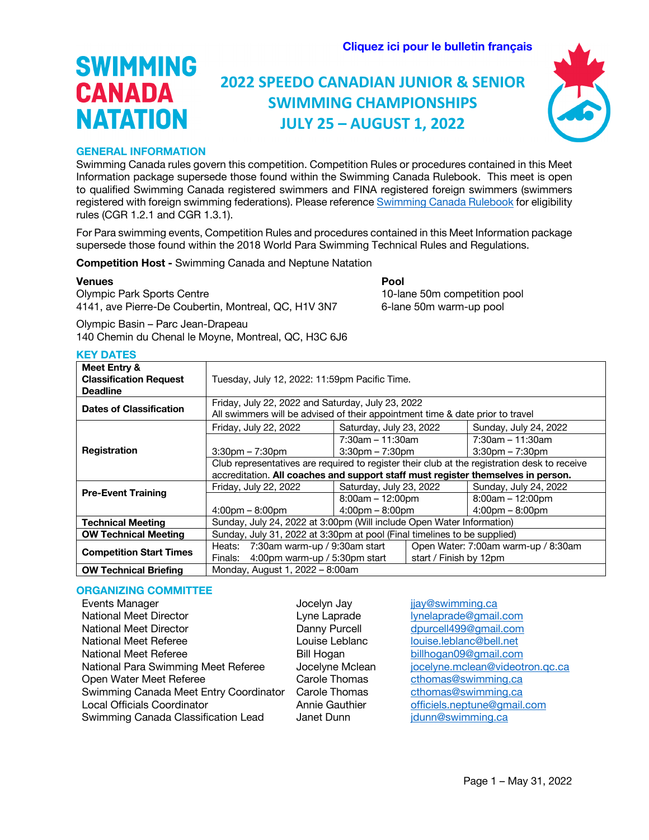**[Cliquez ici pour le bulletin français](#page-10-0)**

### **2022 SPEEDO CANADIAN JUNIOR & SENIOR SWIMMING CHAMPIONSHIPS JULY 25 – AUGUST 1, 2022**



#### **GENERAL INFORMATION**

**SWIMMING** 

**CANADA** 

**NATATION** 

Swimming Canada rules govern this competition. Competition Rules or procedures contained in this Meet Information package supersede those found within the Swimming Canada Rulebook. This meet is open to qualified Swimming Canada registered swimmers and FINA registered foreign swimmers (swimmers registered with foreign swimming federations). Please reference Swimming Canada Rulebook for eligibility rules (CGR 1.2.1 and CGR 1.3.1).

For Para swimming events, Competition Rules and procedures contained in this Meet Information package supersede those found within the 2018 World Para Swimming Technical Rules and Regulations.

**Competition Host -** Swimming Canada and Neptune Natation

#### **Venues Pool**

Olympic Park Sports Centre 10-lane 50m competition pool 4141, ave Pierre-De Coubertin, Montreal, QC, H1V 3N7 6-lane 50m warm-up pool

Olympic Basin – Parc Jean-Drapeau 140 Chemin du Chenal le Moyne, Montreal, QC, H3C 6J6

|  | ٠ |  |
|--|---|--|
|  |   |  |

| Meet Entry &<br><b>Classification Request</b><br><b>Deadline</b> | Tuesday, July 12, 2022: 11:59pm Pacific Time.                                                |                                                                                                                                    |                                     |                                   |  |
|------------------------------------------------------------------|----------------------------------------------------------------------------------------------|------------------------------------------------------------------------------------------------------------------------------------|-------------------------------------|-----------------------------------|--|
| <b>Dates of Classification</b>                                   |                                                                                              | Friday, July 22, 2022 and Saturday, July 23, 2022<br>All swimmers will be advised of their appointment time & date prior to travel |                                     |                                   |  |
|                                                                  | Friday, July 22, 2022                                                                        | Saturday, July 23, 2022                                                                                                            |                                     | Sunday, July 24, 2022             |  |
|                                                                  |                                                                                              | $7:30$ am – 11:30am                                                                                                                |                                     | $7:30$ am – 11:30am               |  |
| <b>Registration</b>                                              | $3:30$ pm – 7:30pm                                                                           | $3:30$ pm $-7:30$ pm                                                                                                               |                                     | $3:30$ pm $-7:30$ pm              |  |
|                                                                  | Club representatives are required to register their club at the registration desk to receive |                                                                                                                                    |                                     |                                   |  |
|                                                                  | accreditation. All coaches and support staff must register themselves in person.             |                                                                                                                                    |                                     |                                   |  |
| <b>Pre-Event Training</b>                                        | Friday, July 22, 2022                                                                        | Saturday, July 23, 2022                                                                                                            |                                     | Sunday, July 24, 2022             |  |
|                                                                  |                                                                                              | $8:00am - 12:00pm$                                                                                                                 |                                     | $8:00am - 12:00pm$                |  |
|                                                                  | $4:00 \text{pm} - 8:00 \text{pm}$                                                            | $4:00 \text{pm} - 8:00 \text{pm}$                                                                                                  |                                     | $4:00 \text{pm} - 8:00 \text{pm}$ |  |
| <b>Technical Meeting</b>                                         | Sunday, July 24, 2022 at 3:00pm (Will include Open Water Information)                        |                                                                                                                                    |                                     |                                   |  |
| <b>OW Technical Meeting</b>                                      | Sunday, July 31, 2022 at 3:30pm at pool (Final timelines to be supplied)                     |                                                                                                                                    |                                     |                                   |  |
|                                                                  | Heats: 7:30am warm-up / 9:30am start                                                         |                                                                                                                                    | Open Water: 7:00am warm-up / 8:30am |                                   |  |
| <b>Competition Start Times</b>                                   | 4:00pm warm-up / 5:30pm start<br>Finals:                                                     |                                                                                                                                    | start / Finish by 12pm              |                                   |  |
| <b>OW Technical Briefing</b>                                     | Monday, August 1, 2022 - 8:00am                                                              |                                                                                                                                    |                                     |                                   |  |

#### **ORGANIZING COMMITTEE**

| <b>Events Manager</b>                  | Jocelyn Jay     | jjay@swimming.ca                |
|----------------------------------------|-----------------|---------------------------------|
| <b>National Meet Director</b>          | Lyne Laprade    | lynelaprade@gmail.com           |
| <b>National Meet Director</b>          | Danny Purcell   | dpurcell499@gmail.com           |
| <b>National Meet Referee</b>           | Louise Leblanc  | louise.leblanc@bell.net         |
| National Meet Referee                  | Bill Hogan      | billhogan09@gmail.com           |
| National Para Swimming Meet Referee    | Jocelyne Mclean | jocelyne.mclean@videotron.qc.ca |
| Open Water Meet Referee                | Carole Thomas   | cthomas@swimming.ca             |
| Swimming Canada Meet Entry Coordinator | Carole Thomas   | cthomas@swimming.ca             |
| <b>Local Officials Coordinator</b>     | Annie Gauthier  | officiels.neptune@gmail.com     |
| Swimming Canada Classification Lead    | Janet Dunn      | jdunn@swimming.ca               |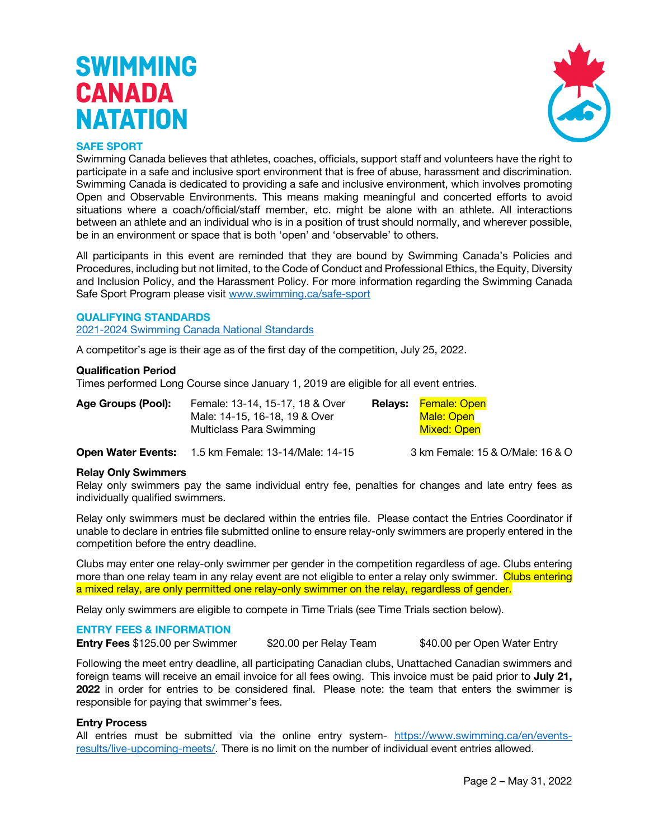

#### **SAFE SPORT**

Swimming Canada believes that athletes, coaches, officials, support staff and volunteers have the right to participate in a safe and inclusive sport environment that is free of abuse, harassment and discrimination. Swimming Canada is dedicated to providing a safe and inclusive environment, which involves promoting Open and Observable Environments. This means making meaningful and concerted efforts to avoid situations where a coach/official/staff member, etc. might be alone with an athlete. All interactions between an athlete and an individual who is in a position of trust should normally, and wherever possible, be in an environment or space that is both 'open' and 'observable' to others.

All participants in this event are reminded that they are bound by Swimming Canada's Policies and Procedures, including but not limited, to the Code of Conduct and Professional Ethics, the Equity, Diversity and Inclusion Policy, and the Harassment Policy. For more information regarding the Swimming Canada Safe Sport Program please visit www.swimming.ca/safe-sport

#### **QUALIFYING STANDARDS**

2021-2024 Swimming Canada National Standards

A competitor's age is their age as of the first day of the competition, July 25, 2022.

#### **Qualification Period**

Times performed Long Course since January 1, 2019 are eligible for all event entries.

| Age Groups (Pool): | Female: 13-14, 15-17, 18 & Over | Relays: Female: Open |
|--------------------|---------------------------------|----------------------|
|                    | Male: 14-15, 16-18, 19 & Over   | Male: Open           |
|                    | Multiclass Para Swimming        | <b>Mixed: Open</b>   |

**Open Water Events:** 1.5 km Female: 13-14/Male: 14-15 3 km Female: 15 & O/Male: 16 & O

### **Relay Only Swimmers**

Relay only swimmers pay the same individual entry fee, penalties for changes and late entry fees as individually qualified swimmers.

Relay only swimmers must be declared within the entries file. Please contact the Entries Coordinator if unable to declare in entries file submitted online to ensure relay-only swimmers are properly entered in the competition before the entry deadline.

Clubs may enter one relay-only swimmer per gender in the competition regardless of age. Clubs entering more than one relay team in any relay event are not eligible to enter a relay only swimmer. Clubs entering a mixed relay, are only permitted one relay-only swimmer on the relay, regardless of gender.

Relay only swimmers are eligible to compete in Time Trials (see Time Trials section below).

#### **ENTRY FEES & INFORMATION**

**Entry Fees** \$125.00 per Swimmer \$20.00 per Relay Team \$40.00 per Open Water Entry

Following the meet entry deadline, all participating Canadian clubs, Unattached Canadian swimmers and foreign teams will receive an email invoice for all fees owing. This invoice must be paid prior to **July 21, 2022** in order for entries to be considered final. Please note: the team that enters the swimmer is responsible for paying that swimmer's fees.

#### **Entry Process**

All entries must be submitted via the online entry system- https://www.swimming.ca/en/eventsresults/live-upcoming-meets/. There is no limit on the number of individual event entries allowed.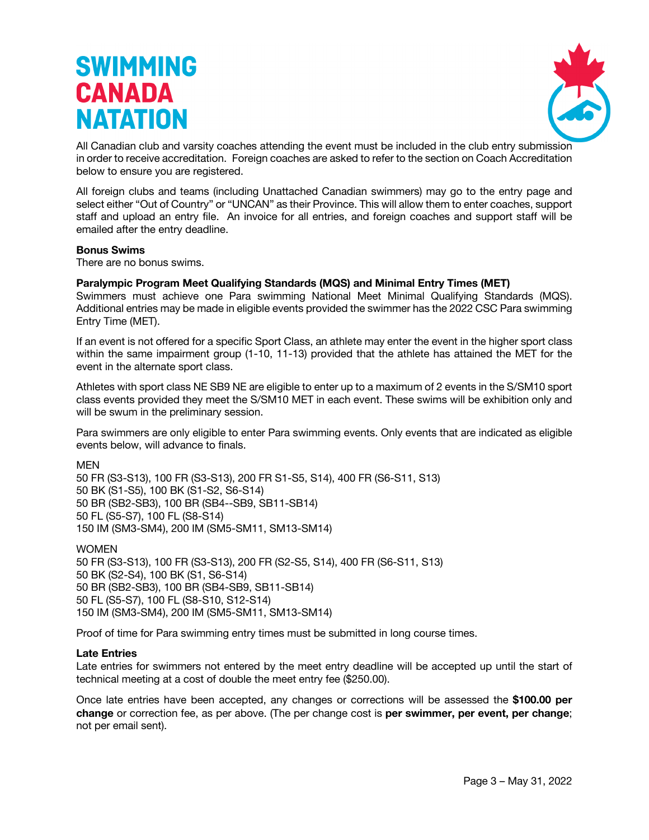

All Canadian club and varsity coaches attending the event must be included in the club entry submission in order to receive accreditation. Foreign coaches are asked to refer to the section on Coach Accreditation below to ensure you are registered.

All foreign clubs and teams (including Unattached Canadian swimmers) may go to the entry page and select either "Out of Country" or "UNCAN" as their Province. This will allow them to enter coaches, support staff and upload an entry file. An invoice for all entries, and foreign coaches and support staff will be emailed after the entry deadline.

#### **Bonus Swims**

There are no bonus swims.

#### **Paralympic Program Meet Qualifying Standards (MQS) and Minimal Entry Times (MET)**

Swimmers must achieve one Para swimming National Meet Minimal Qualifying Standards (MQS). Additional entries may be made in eligible events provided the swimmer has the 2022 CSC Para swimming Entry Time (MET).

If an event is not offered for a specific Sport Class, an athlete may enter the event in the higher sport class within the same impairment group (1-10, 11-13) provided that the athlete has attained the MET for the event in the alternate sport class.

Athletes with sport class NE SB9 NE are eligible to enter up to a maximum of 2 events in the S/SM10 sport class events provided they meet the S/SM10 MET in each event. These swims will be exhibition only and will be swum in the preliminary session.

Para swimmers are only eligible to enter Para swimming events. Only events that are indicated as eligible events below, will advance to finals.

MEN

50 FR (S3-S13), 100 FR (S3-S13), 200 FR S1-S5, S14), 400 FR (S6-S11, S13) 50 BK (S1-S5), 100 BK (S1-S2, S6-S14) 50 BR (SB2-SB3), 100 BR (SB4--SB9, SB11-SB14) 50 FL (S5-S7), 100 FL (S8-S14) 150 IM (SM3-SM4), 200 IM (SM5-SM11, SM13-SM14)

WOMEN 50 FR (S3-S13), 100 FR (S3-S13), 200 FR (S2-S5, S14), 400 FR (S6-S11, S13) 50 BK (S2-S4), 100 BK (S1, S6-S14) 50 BR (SB2-SB3), 100 BR (SB4-SB9, SB11-SB14) 50 FL (S5-S7), 100 FL (S8-S10, S12-S14) 150 IM (SM3-SM4), 200 IM (SM5-SM11, SM13-SM14)

Proof of time for Para swimming entry times must be submitted in long course times.

#### **Late Entries**

Late entries for swimmers not entered by the meet entry deadline will be accepted up until the start of technical meeting at a cost of double the meet entry fee (\$250.00).

Once late entries have been accepted, any changes or corrections will be assessed the **\$100.00 per change** or correction fee, as per above. (The per change cost is **per swimmer, per event, per change**; not per email sent).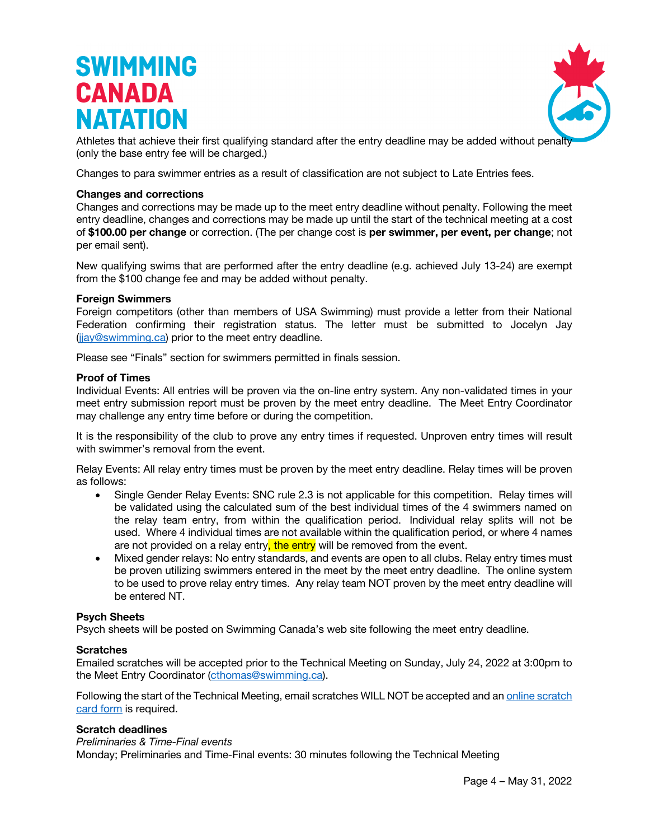

Athletes that achieve their first qualifying standard after the entry deadline may be added without penalt (only the base entry fee will be charged.)

Changes to para swimmer entries as a result of classification are not subject to Late Entries fees.

#### **Changes and corrections**

Changes and corrections may be made up to the meet entry deadline without penalty. Following the meet entry deadline, changes and corrections may be made up until the start of the technical meeting at a cost of **\$100.00 per change** or correction. (The per change cost is **per swimmer, per event, per change**; not per email sent).

New qualifying swims that are performed after the entry deadline (e.g. achieved July 13-24) are exempt from the \$100 change fee and may be added without penalty.

#### **Foreign Swimmers**

Foreign competitors (other than members of USA Swimming) must provide a letter from their National Federation confirming their registration status. The letter must be submitted to Jocelyn Jay (jjay@swimming.ca) prior to the meet entry deadline.

Please see "Finals" section for swimmers permitted in finals session.

#### **Proof of Times**

Individual Events: All entries will be proven via the on-line entry system. Any non-validated times in your meet entry submission report must be proven by the meet entry deadline. The Meet Entry Coordinator may challenge any entry time before or during the competition.

It is the responsibility of the club to prove any entry times if requested. Unproven entry times will result with swimmer's removal from the event.

Relay Events: All relay entry times must be proven by the meet entry deadline. Relay times will be proven as follows:

- Single Gender Relay Events: SNC rule 2.3 is not applicable for this competition. Relay times will be validated using the calculated sum of the best individual times of the 4 swimmers named on the relay team entry, from within the qualification period. Individual relay splits will not be used. Where 4 individual times are not available within the qualification period, or where 4 names are not provided on a relay entry, the entry will be removed from the event.
- Mixed gender relays: No entry standards, and events are open to all clubs. Relay entry times must be proven utilizing swimmers entered in the meet by the meet entry deadline. The online system to be used to prove relay entry times. Any relay team NOT proven by the meet entry deadline will be entered NT.

#### **Psych Sheets**

Psych sheets will be posted on Swimming Canada's web site following the meet entry deadline.

#### **Scratches**

Emailed scratches will be accepted prior to the Technical Meeting on Sunday, July 24, 2022 at 3:00pm to the Meet Entry Coordinator (cthomas@swimming.ca).

Following the start of the Technical Meeting, email scratches WILL NOT be accepted and an online scratch card form is required.

#### **Scratch deadlines**

#### *Preliminaries & Time-Final events*

Monday; Preliminaries and Time-Final events: 30 minutes following the Technical Meeting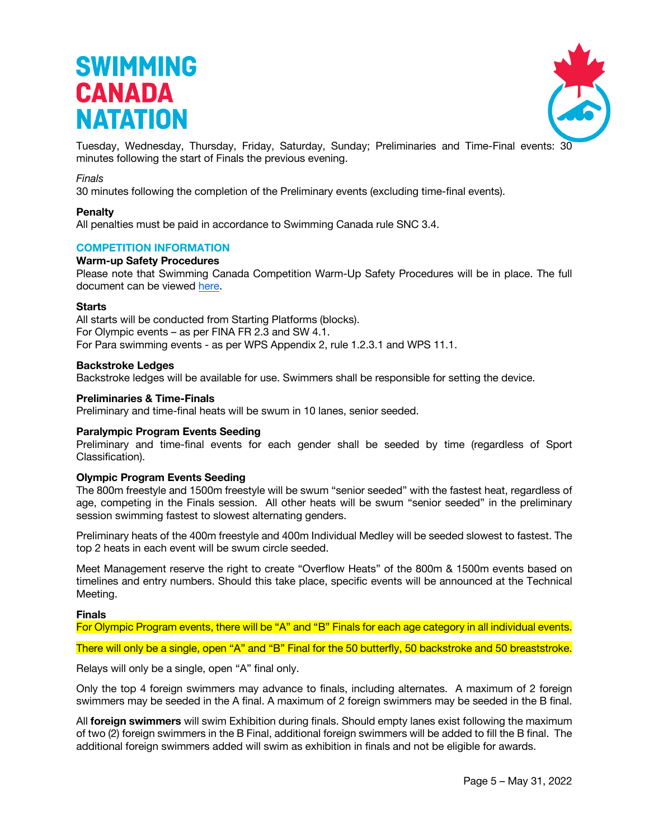

Tuesday, Wednesday, Thursday, Friday, Saturday, Sunday; Preliminaries and Time-Final events: 30 minutes following the start of Finals the previous evening.

#### *Finals*

30 minutes following the completion of the Preliminary events (excluding time-final events).

#### **Penalty**

All penalties must be paid in accordance to Swimming Canada rule SNC 3.4.

#### **COMPETITION INFORMATION**

#### **Warm-up Safety Procedures**

Please note that Swimming Canada Competition Warm-Up Safety Procedures will be in place. The full document can be viewed here.

#### **Starts**

All starts will be conducted from Starting Platforms (blocks). For Olympic events – as per FINA FR 2.3 and SW 4.1. For Para swimming events - as per WPS Appendix 2, rule 1.2.3.1 and WPS 11.1.

#### **Backstroke Ledges**

Backstroke ledges will be available for use. Swimmers shall be responsible for setting the device.

#### **Preliminaries & Time-Finals**

Preliminary and time-final heats will be swum in 10 lanes, senior seeded.

#### **Paralympic Program Events Seeding**

Preliminary and time-final events for each gender shall be seeded by time (regardless of Sport Classification).

#### **Olympic Program Events Seeding**

The 800m freestyle and 1500m freestyle will be swum "senior seeded" with the fastest heat, regardless of age, competing in the Finals session. All other heats will be swum "senior seeded" in the preliminary session swimming fastest to slowest alternating genders.

Preliminary heats of the 400m freestyle and 400m Individual Medley will be seeded slowest to fastest. The top 2 heats in each event will be swum circle seeded.

Meet Management reserve the right to create "Overflow Heats" of the 800m & 1500m events based on timelines and entry numbers. Should this take place, specific events will be announced at the Technical Meeting.

#### **Finals**

For Olympic Program events, there will be "A" and "B" Finals for each age category in all individual events.

There will only be a single, open "A" and "B" Final for the 50 butterfly, 50 backstroke and 50 breaststroke.

Relays will only be a single, open "A" final only.

Only the top 4 foreign swimmers may advance to finals, including alternates. A maximum of 2 foreign swimmers may be seeded in the A final. A maximum of 2 foreign swimmers may be seeded in the B final.

All **foreign swimmers** will swim Exhibition during finals. Should empty lanes exist following the maximum of two (2) foreign swimmers in the B Final, additional foreign swimmers will be added to fill the B final. The additional foreign swimmers added will swim as exhibition in finals and not be eligible for awards.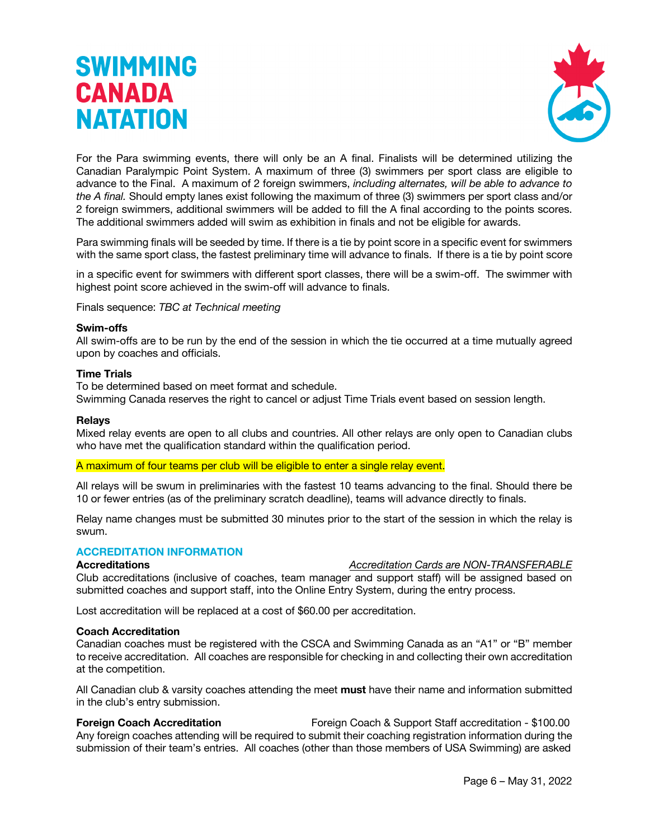

For the Para swimming events, there will only be an A final. Finalists will be determined utilizing the Canadian Paralympic Point System. A maximum of three (3) swimmers per sport class are eligible to advance to the Final. A maximum of 2 foreign swimmers, *including alternates, will be able to advance to the A final.* Should empty lanes exist following the maximum of three (3) swimmers per sport class and/or 2 foreign swimmers, additional swimmers will be added to fill the A final according to the points scores. The additional swimmers added will swim as exhibition in finals and not be eligible for awards.

Para swimming finals will be seeded by time. If there is a tie by point score in a specific event for swimmers with the same sport class, the fastest preliminary time will advance to finals. If there is a tie by point score

in a specific event for swimmers with different sport classes, there will be a swim-off. The swimmer with highest point score achieved in the swim-off will advance to finals.

Finals sequence: *TBC at Technical meeting* 

#### **Swim-offs**

All swim-offs are to be run by the end of the session in which the tie occurred at a time mutually agreed upon by coaches and officials.

#### **Time Trials**

To be determined based on meet format and schedule.

Swimming Canada reserves the right to cancel or adjust Time Trials event based on session length.

#### **Relays**

Mixed relay events are open to all clubs and countries. All other relays are only open to Canadian clubs who have met the qualification standard within the qualification period.

#### A maximum of four teams per club will be eligible to enter a single relay event.

All relays will be swum in preliminaries with the fastest 10 teams advancing to the final. Should there be 10 or fewer entries (as of the preliminary scratch deadline), teams will advance directly to finals.

Relay name changes must be submitted 30 minutes prior to the start of the session in which the relay is swum.

#### **ACCREDITATION INFORMATION**

**Accreditations** *Accreditation Cards are NON-TRANSFERABLE*

Club accreditations (inclusive of coaches, team manager and support staff) will be assigned based on submitted coaches and support staff, into the Online Entry System, during the entry process.

Lost accreditation will be replaced at a cost of \$60.00 per accreditation.

#### **Coach Accreditation**

Canadian coaches must be registered with the CSCA and Swimming Canada as an "A1" or "B" member to receive accreditation. All coaches are responsible for checking in and collecting their own accreditation at the competition.

All Canadian club & varsity coaches attending the meet **must** have their name and information submitted in the club's entry submission.

**Foreign Coach Accreditation** Foreign Coach & Support Staff accreditation - \$100.00 Any foreign coaches attending will be required to submit their coaching registration information during the submission of their team's entries. All coaches (other than those members of USA Swimming) are asked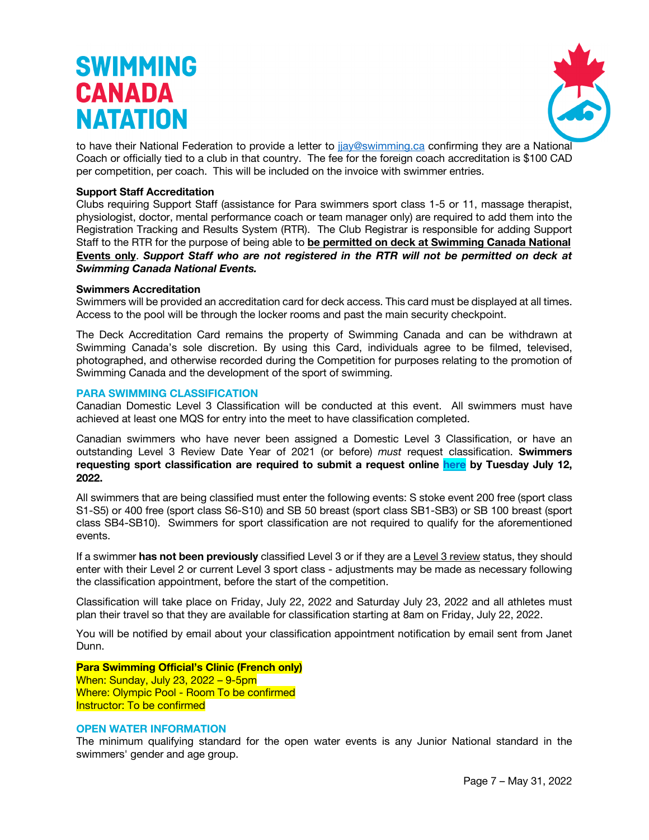

to have their National Federation to provide a letter to jjay@swimming.ca confirming they are a National Coach or officially tied to a club in that country. The fee for the foreign coach accreditation is \$100 CAD per competition, per coach. This will be included on the invoice with swimmer entries.

#### **Support Staff Accreditation**

Clubs requiring Support Staff (assistance for Para swimmers sport class 1-5 or 11, massage therapist, physiologist, doctor, mental performance coach or team manager only) are required to add them into the Registration Tracking and Results System (RTR). The Club Registrar is responsible for adding Support Staff to the RTR for the purpose of being able to **be permitted on deck at Swimming Canada National Events only**. *Support Staff who are not registered in the RTR will not be permitted on deck at Swimming Canada National Events.*

#### **Swimmers Accreditation**

Swimmers will be provided an accreditation card for deck access. This card must be displayed at all times. Access to the pool will be through the locker rooms and past the main security checkpoint.

The Deck Accreditation Card remains the property of Swimming Canada and can be withdrawn at Swimming Canada's sole discretion. By using this Card, individuals agree to be filmed, televised, photographed, and otherwise recorded during the Competition for purposes relating to the promotion of Swimming Canada and the development of the sport of swimming.

#### **PARA SWIMMING CLASSIFICATION**

Canadian Domestic Level 3 Classification will be conducted at this event. All swimmers must have achieved at least one MQS for entry into the meet to have classification completed.

Canadian swimmers who have never been assigned a Domestic Level 3 Classification, or have an outstanding Level 3 Review Date Year of 2021 (or before) *must* request classification. **Swimmers requesting sport classification are required to submit a request online here by Tuesday July 12, 2022.**

All swimmers that are being classified must enter the following events: S stoke event 200 free (sport class S1-S5) or 400 free (sport class S6-S10) and SB 50 breast (sport class SB1-SB3) or SB 100 breast (sport class SB4-SB10). Swimmers for sport classification are not required to qualify for the aforementioned events.

If a swimmer **has not been previously** classified Level 3 or if they are a Level 3 review status, they should enter with their Level 2 or current Level 3 sport class - adjustments may be made as necessary following the classification appointment, before the start of the competition.

Classification will take place on Friday, July 22, 2022 and Saturday July 23, 2022 and all athletes must plan their travel so that they are available for classification starting at 8am on Friday, July 22, 2022.

You will be notified by email about your classification appointment notification by email sent from Janet Dunn.

**Para Swimming Official's Clinic (French only)** When: Sunday, July 23, 2022 – 9-5pm Where: Olympic Pool - Room To be confirmed Instructor: To be confirmed

#### **OPEN WATER INFORMATION**

The minimum qualifying standard for the open water events is any Junior National standard in the swimmers' gender and age group.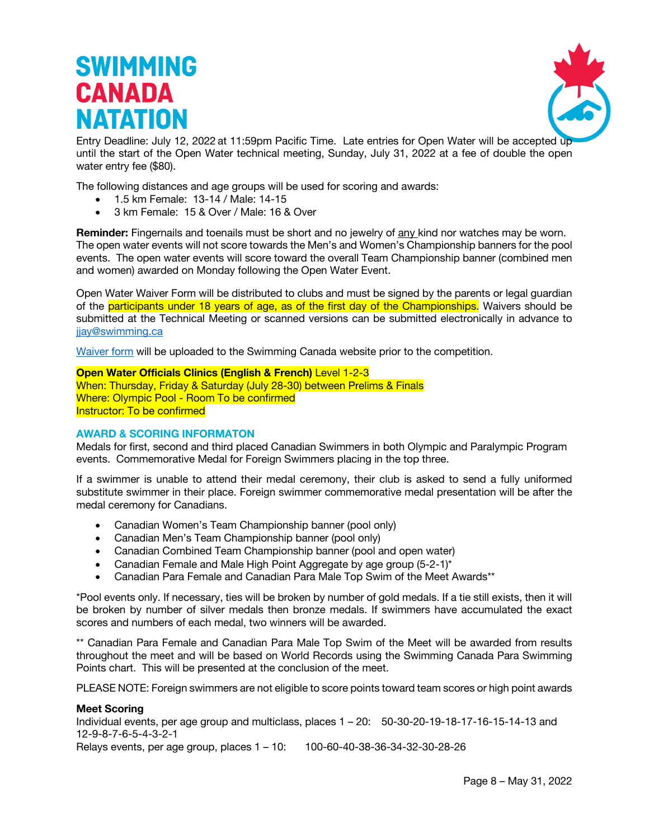

Entry Deadline: July 12, 2022 at 11:59pm Pacific Time. Late entries for Open Water will be accepted up until the start of the Open Water technical meeting, Sunday, July 31, 2022 at a fee of double the open water entry fee (\$80).

The following distances and age groups will be used for scoring and awards:

- 1.5 km Female: 13-14 / Male: 14-15
- 3 km Female: 15 & Over / Male: 16 & Over

**Reminder:** Fingernails and toenails must be short and no jewelry of any kind nor watches may be worn. The open water events will not score towards the Men's and Women's Championship banners for the pool events. The open water events will score toward the overall Team Championship banner (combined men and women) awarded on Monday following the Open Water Event.

Open Water Waiver Form will be distributed to clubs and must be signed by the parents or legal guardian of the participants under 18 years of age, as of the first day of the Championships. Waivers should be submitted at the Technical Meeting or scanned versions can be submitted electronically in advance to jiay@swimming.ca

Waiver form will be uploaded to the Swimming Canada website prior to the competition.

**Open Water Officials Clinics (English & French)** Level 1-2-3

When: Thursday, Friday & Saturday (July 28-30) between Prelims & Finals Where: Olympic Pool - Room To be confirmed Instructor: To be confirmed

#### **AWARD & SCORING INFORMATON**

Medals for first, second and third placed Canadian Swimmers in both Olympic and Paralympic Program events. Commemorative Medal for Foreign Swimmers placing in the top three.

If a swimmer is unable to attend their medal ceremony, their club is asked to send a fully uniformed substitute swimmer in their place. Foreign swimmer commemorative medal presentation will be after the medal ceremony for Canadians.

- Canadian Women's Team Championship banner (pool only)
- Canadian Men's Team Championship banner (pool only)
- Canadian Combined Team Championship banner (pool and open water)
- Canadian Female and Male High Point Aggregate by age group (5-2-1)\*
- Canadian Para Female and Canadian Para Male Top Swim of the Meet Awards\*\*

\*Pool events only. If necessary, ties will be broken by number of gold medals. If a tie still exists, then it will be broken by number of silver medals then bronze medals. If swimmers have accumulated the exact scores and numbers of each medal, two winners will be awarded.

\*\* Canadian Para Female and Canadian Para Male Top Swim of the Meet will be awarded from results throughout the meet and will be based on World Records using the Swimming Canada Para Swimming Points chart. This will be presented at the conclusion of the meet.

PLEASE NOTE: Foreign swimmers are not eligible to score points toward team scores or high point awards

#### **Meet Scoring**

Individual events, per age group and multiclass, places 1 – 20: 50-30-20-19-18-17-16-15-14-13 and 12-9-8-7-6-5-4-3-2-1 Relays events, per age group, places 1 – 10: 100-60-40-38-36-34-32-30-28-26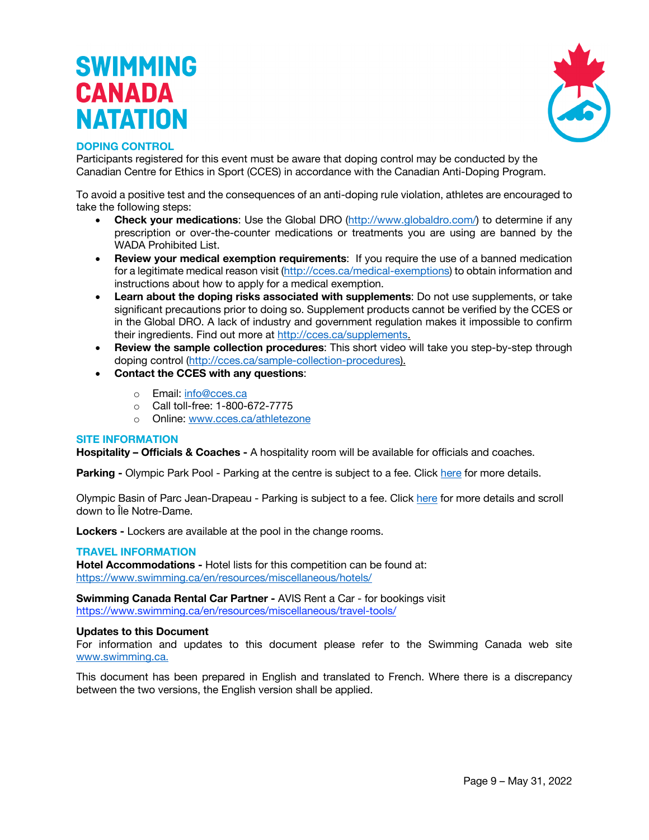

#### **DOPING CONTROL**

Participants registered for this event must be aware that doping control may be conducted by the Canadian Centre for Ethics in Sport (CCES) in accordance with the Canadian Anti-Doping Program.

To avoid a positive test and the consequences of an anti-doping rule violation, athletes are encouraged to take the following steps:

- **Check your medications:** Use the Global DRO (http://www.globaldro.com/) to determine if any prescription or over-the-counter medications or treatments you are using are banned by the WADA Prohibited List.
- **Review your medical exemption requirements**: If you require the use of a banned medication for a legitimate medical reason visit (http://cces.ca/medical-exemptions) to obtain information and instructions about how to apply for a medical exemption.
- **Learn about the doping risks associated with supplements**: Do not use supplements, or take significant precautions prior to doing so. Supplement products cannot be verified by the CCES or in the Global DRO. A lack of industry and government regulation makes it impossible to confirm their ingredients. Find out more at http://cces.ca/supplements.
- **Review the sample collection procedures**: This short video will take you step-by-step through doping control (http://cces.ca/sample-collection-procedures).
- **Contact the CCES with any questions**:
	- o Email: info@cces.ca
	- o Call toll-free: 1-800-672-7775
	- o Online: www.cces.ca/athletezone

#### **SITE INFORMATION**

**Hospitality – Officials & Coaches -** A hospitality room will be available for officials and coaches.

**Parking -** Olympic Park Pool - Parking at the centre is subject to a fee. Click here for more details.

Olympic Basin of Parc Jean-Drapeau - Parking is subject to a fee. Click here for more details and scroll down to Île Notre-Dame.

**Lockers -** Lockers are available at the pool in the change rooms.

#### **TRAVEL INFORMATION**

**Hotel Accommodations -** Hotel lists for this competition can be found at: https://www.swimming.ca/en/resources/miscellaneous/hotels/

**Swimming Canada Rental Car Partner -** AVIS Rent a Car - for bookings visit https://www.swimming.ca/en/resources/miscellaneous/travel-tools/

#### **Updates to this Document**

For information and updates to this document please refer to the Swimming Canada web site www.swimming.ca.

This document has been prepared in English and translated to French. Where there is a discrepancy between the two versions, the English version shall be applied.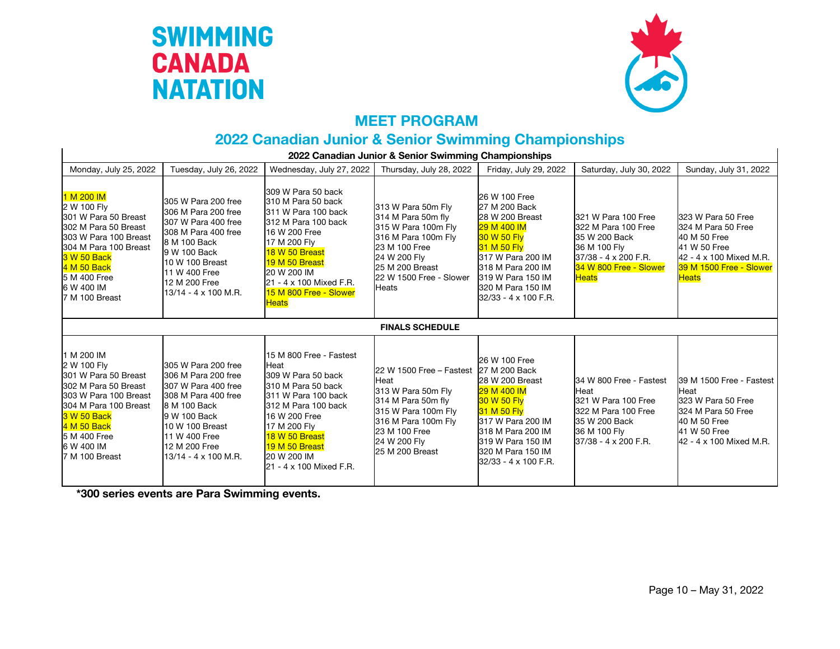



### **MEET PROGRAM**

### **2022 Canadian Junior & Senior Swimming Championships**

| 2022 Canadian Junior & Senior Swimming Championships                                                                                                                                                             |                                                                                                                                                                                                              |                                                                                                                                                                                                                                                 |                                                                                                                                                                                              |                                                                                                                                                                                                            |                                                                                                                                               |                                                                                                                                                |
|------------------------------------------------------------------------------------------------------------------------------------------------------------------------------------------------------------------|--------------------------------------------------------------------------------------------------------------------------------------------------------------------------------------------------------------|-------------------------------------------------------------------------------------------------------------------------------------------------------------------------------------------------------------------------------------------------|----------------------------------------------------------------------------------------------------------------------------------------------------------------------------------------------|------------------------------------------------------------------------------------------------------------------------------------------------------------------------------------------------------------|-----------------------------------------------------------------------------------------------------------------------------------------------|------------------------------------------------------------------------------------------------------------------------------------------------|
| Monday, July 25, 2022                                                                                                                                                                                            | Tuesday, July 26, 2022                                                                                                                                                                                       | Wednesday, July 27, 2022                                                                                                                                                                                                                        | Thursday, July 28, 2022                                                                                                                                                                      | Friday, July 29, 2022                                                                                                                                                                                      | Saturday, July 30, 2022                                                                                                                       | Sunday, July 31, 2022                                                                                                                          |
| 1 M 200 IM<br>2 W 100 Fly<br>301 W Para 50 Breast<br>302 M Para 50 Breast<br>303 W Para 100 Breast<br>304 M Para 100 Breast<br>3 W 50 Back<br>4 M 50 Back<br>5 M 400 Free<br>6 W 400 IM<br>7 M 100 Breast        | 305 W Para 200 free<br>306 M Para 200 free<br>307 W Para 400 free<br>308 M Para 400 free<br>8 M 100 Back<br>9 W 100 Back<br>10 W 100 Breast<br>11 W 400 Free<br>12 M 200 Free<br>13/14 - 4 x 100 M.R.        | 309 W Para 50 back<br>310 M Para 50 back<br>311 W Para 100 back<br>312 M Para 100 back<br>16 W 200 Free<br>17 M 200 Fly<br>18 W 50 Breast<br>19 M 50 Breast<br>20 W 200 IM<br>21 - 4 x 100 Mixed F.R.<br>15 M 800 Free - Slower<br><b>Heats</b> | 313 W Para 50m Fly<br>314 M Para 50m fly<br>315 W Para 100m Fly<br>316 M Para 100m Fly<br>23 M 100 Free<br>24 W 200 Fly<br>25 M 200 Breast<br>22 W 1500 Free - Slower<br><b>Heats</b>        | 26 W 100 Free<br>27 M 200 Back<br>28 W 200 Breast<br>29 M 400 IM<br>30 W 50 Fly<br>31 M 50 Flv<br>317 W Para 200 IM<br>318 M Para 200 IM<br>319 W Para 150 IM<br>320 M Para 150 IM<br>32/33 - 4 x 100 F.R. | 321 W Para 100 Free<br>322 M Para 100 Free<br>35 W 200 Back<br>36 M 100 Fly<br>37/38 - 4 x 200 F.R.<br>34 W 800 Free - Slower<br><b>Heats</b> | 323 W Para 50 Free<br>324 M Para 50 Free<br>40 M 50 Free<br>41 W 50 Free<br>42 - 4 x 100 Mixed M.R.<br>39 M 1500 Free - Slower<br><b>Heats</b> |
|                                                                                                                                                                                                                  |                                                                                                                                                                                                              |                                                                                                                                                                                                                                                 | <b>FINALS SCHEDULE</b>                                                                                                                                                                       |                                                                                                                                                                                                            |                                                                                                                                               |                                                                                                                                                |
| 1 M 200 IM<br>2 W 100 Fly<br>301 W Para 50 Breast<br>302 M Para 50 Breast<br>303 W Para 100 Breast<br>304 M Para 100 Breast<br><b>3 W 50 Back</b><br>4 M 50 Back<br>5 M 400 Free<br>6 W 400 IM<br>7 M 100 Breast | 305 W Para 200 free<br>306 M Para 200 free<br>307 W Para 400 free<br>308 M Para 400 free<br>8 M 100 Back<br>9 W 100 Back<br>10 W 100 Breast<br>11 W 400 Free<br>12 M 200 Free<br>$13/14 - 4 \times 100$ M.R. | 15 M 800 Free - Fastest<br>Heat<br>309 W Para 50 back<br>310 M Para 50 back<br>311 W Para 100 back<br>312 M Para 100 back<br>16 W 200 Free<br>17 M 200 Fly<br>18 W 50 Breast<br>19 M 50 Breast<br>20 W 200 IM<br>21 - 4 x 100 Mixed F.R.        | 22 W 1500 Free - Fastest 27 M 200 Back<br>Heat<br>313 W Para 50m Fly<br>314 M Para 50m fly<br>315 W Para 100m Fly<br>316 M Para 100m Flv<br>23 M 100 Free<br>24 W 200 Fly<br>25 M 200 Breast | 26 W 100 Free<br>28 W 200 Breast<br>29 M 400 IM<br>30 W 50 Flv<br>31 M 50 Fly<br>317 W Para 200 IM<br>318 M Para 200 IM<br>319 W Para 150 IM<br>320 M Para 150 IM<br>32/33 - 4 x 100 F.R.                  | 34 W 800 Free - Fastest<br>Heat<br>321 W Para 100 Free<br>322 M Para 100 Free<br>35 W 200 Back<br>36 M 100 Flv<br>37/38 - 4 x 200 F.R.        | 39 M 1500 Free - Fastest<br>Heat<br>323 W Para 50 Free<br>324 M Para 50 Free<br>40 M 50 Free<br>41 W 50 Free<br>42 - 4 x 100 Mixed M.R.        |

**\*300 series events are Para Swimming events.**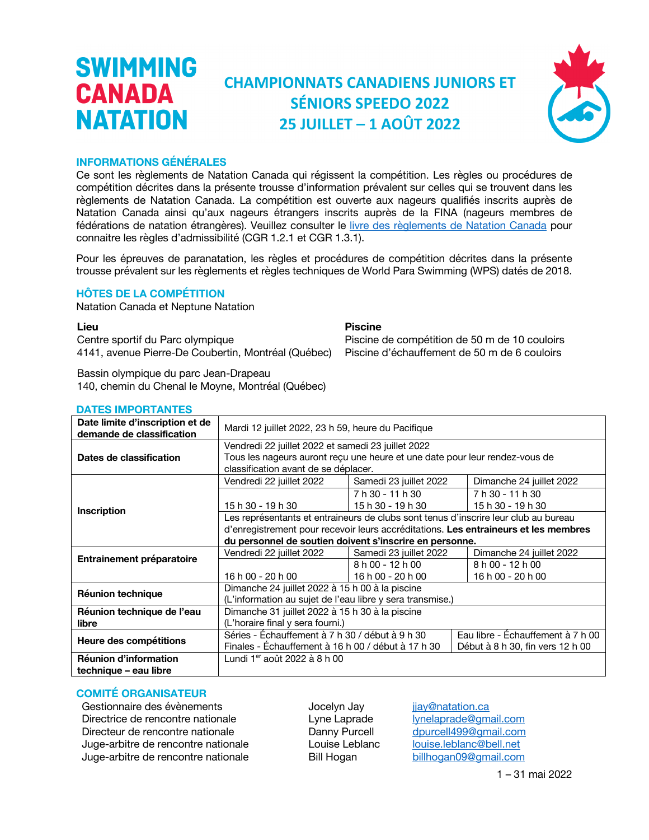### **CHAMPIONNATS CANADIENS JUNIORS ET SÉNIORS SPEEDO 2022 25 JUILLET – 1 AOÛT 2022**



#### **INFORMATIONS GÉNÉRALES**

<span id="page-10-0"></span>**SWIMMING** 

**CANADA** 

**NATATION** 

Ce sont les règlements de Natation Canada qui régissent la compétition. Les règles ou procédures de compétition décrites dans la présente trousse d'information prévalent sur celles qui se trouvent dans les règlements de Natation Canada. La compétition est ouverte aux nageurs qualifiés inscrits auprès de Natation Canada ainsi qu'aux nageurs étrangers inscrits auprès de la FINA (nageurs membres de fédérations de natation étrangères). Veuillez consulter le livre des règlements de Natation Canada pour connaitre les règles d'admissibilité (CGR 1.2.1 et CGR 1.3.1).

Pour les épreuves de paranatation, les règles et procédures de compétition décrites dans la présente trousse prévalent sur les règlements et règles techniques de World Para Swimming (WPS) datés de 2018.

#### **HÔTES DE LA COMPÉTITION**

Natation Canada et Neptune Natation

**Lieu Piscine**

Centre sportif du Parc olympique 4141, avenue Pierre-De Coubertin, Montréal (Québec)

Bassin olympique du parc Jean-Drapeau 140, chemin du Chenal le Moyne, Montréal (Québec)

| Date limite d'inscription et de<br>Mardi 12 juillet 2022, 23 h 59, heure du Pacifique<br>demande de classification                             |                                                                                     |  |  |  |
|------------------------------------------------------------------------------------------------------------------------------------------------|-------------------------------------------------------------------------------------|--|--|--|
| Vendredi 22 juillet 2022 et samedi 23 juillet 2022                                                                                             |                                                                                     |  |  |  |
| Tous les nageurs auront reçu une heure et une date pour leur rendez-vous de<br>Dates de classification<br>classification avant de se déplacer. |                                                                                     |  |  |  |
| Vendredi 22 juillet 2022<br>Samedi 23 juillet 2022<br>Dimanche 24 juillet 2022                                                                 |                                                                                     |  |  |  |
| 7 h 30 - 11 h 30<br>7 h 30 - 11 h 30                                                                                                           |                                                                                     |  |  |  |
| 15 h 30 - 19 h 30<br>15 h 30 - 19 h 30<br>15 h 30 - 19 h 30<br>Inscription                                                                     |                                                                                     |  |  |  |
|                                                                                                                                                | Les représentants et entraineurs de clubs sont tenus d'inscrire leur club au bureau |  |  |  |
|                                                                                                                                                | d'enregistrement pour recevoir leurs accréditations. Les entraineurs et les membres |  |  |  |
| du personnel de soutien doivent s'inscrire en personne.                                                                                        |                                                                                     |  |  |  |
| Samedi 23 juillet 2022<br>Vendredi 22 juillet 2022<br>Dimanche 24 juillet 2022                                                                 |                                                                                     |  |  |  |
| Entrainement préparatoire<br>8 h 00 - 12 h 00<br>8 h 00 - 12 h 00                                                                              |                                                                                     |  |  |  |
| 16 h 00 - 20 h 00<br>16 h 00 - 20 h 00<br>16 h 00 - 20 h 00                                                                                    |                                                                                     |  |  |  |
| Dimanche 24 juillet 2022 à 15 h 00 à la piscine                                                                                                |                                                                                     |  |  |  |
| <b>Réunion technique</b><br>(L'information au sujet de l'eau libre y sera transmise.)                                                          |                                                                                     |  |  |  |
| Dimanche 31 juillet 2022 à 15 h 30 à la piscine<br>Réunion technique de l'eau                                                                  |                                                                                     |  |  |  |
| (L'horaire final y sera fourni.)<br>libre                                                                                                      |                                                                                     |  |  |  |
| Séries - Échauffement à 7 h 30 / début à 9 h 30                                                                                                | Eau libre - Échauffement à 7 h 00                                                   |  |  |  |
| Heure des compétitions<br>Finales - Echauffement à 16 h 00 / début à 17 h 30<br>Début à 8 h 30, fin vers 12 h 00                               |                                                                                     |  |  |  |
| Réunion d'information<br>Lundi 1 <sup>er</sup> août 2022 à 8 h 00                                                                              |                                                                                     |  |  |  |
| technique – eau libre                                                                                                                          |                                                                                     |  |  |  |

#### **DATES IMPORTANTES**

#### **COMITÉ ORGANISATEUR**

Gestionnaire des évènements **Soute des exercits** Jocelyn Jay *jay@natation.ca* Directrice de rencontre nationale<br>
Directeur de rencontre nationale<br>
Danny Purcell dourcell499@amail.com Directeur de rencontre nationale Danny Purcell Juge-arbitre de rencontre nationale Louise Leblanc louise.leblanc@bell.net Juge-arbitre de rencontre nationale Bill Hogan billhogan09@gmail.com

Piscine de compétition de 50 m de 10 couloirs Piscine d'échauffement de 50 m de 6 couloirs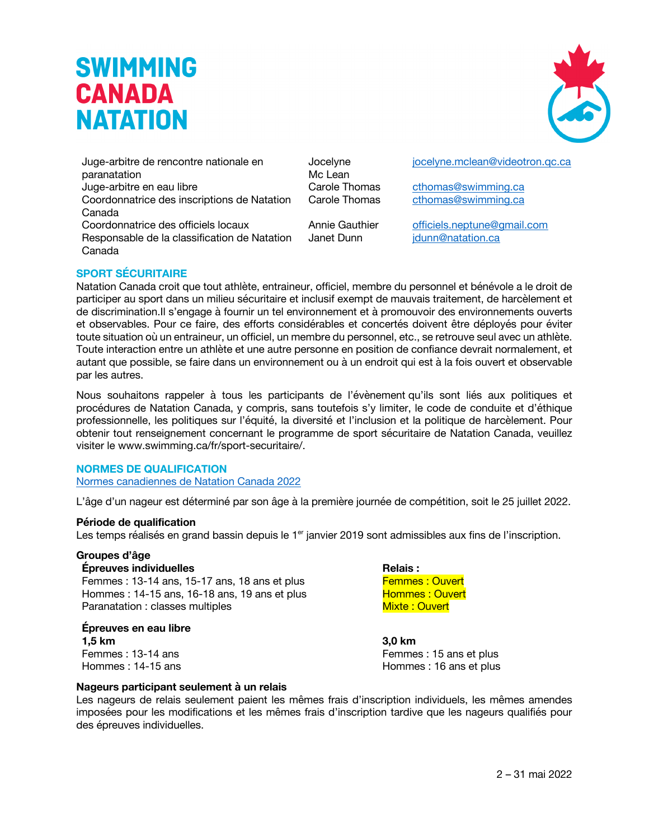Juge-arbitre de rencontre nationale en paranatation Juge-arbitre en eau libre Carole Thomas cthomas@swimming.ca Coordonnatrice des inscriptions de Natation Canada

Coordonnatrice des officiels locaux Annie Gauthier officiels.neptune@gmail.com Responsable de la classification de Natation Canada

Jocelyne Mc Lean

jocelyne.mclean@videotron.qc.ca

Carole Thomas cthomas@swimming.ca

Janet Dunn jdunn@natation.ca

### **SPORT SÉCURITAIRE**

Natation Canada croit que tout athlète, entraineur, officiel, membre du personnel et bénévole a le droit de participer au sport dans un milieu sécuritaire et inclusif exempt de mauvais traitement, de harcèlement et de discrimination.Il s'engage à fournir un tel environnement et à promouvoir des environnements ouverts et observables. Pour ce faire, des efforts considérables et concertés doivent être déployés pour éviter toute situation où un entraineur, un officiel, un membre du personnel, etc., se retrouve seul avec un athlète. Toute interaction entre un athlète et une autre personne en position de confiance devrait normalement, et autant que possible, se faire dans un environnement ou à un endroit qui est à la fois ouvert et observable par les autres.

Nous souhaitons rappeler à tous les participants de l'évènement qu'ils sont liés aux politiques et procédures de Natation Canada, y compris, sans toutefois s'y limiter, le code de conduite et d'éthique professionnelle, les politiques sur l'équité, la diversité et l'inclusion et la politique de harcèlement. Pour obtenir tout renseignement concernant le programme de sport sécuritaire de Natation Canada, veuillez visiter le www.swimming.ca/fr/sport-securitaire/.

#### **NORMES DE QUALIFICATION**

Normes canadiennes de Natation Canada 2022

L'âge d'un nageur est déterminé par son âge à la première journée de compétition, soit le 25 juillet 2022.

#### **Période de qualification**

Les temps réalisés en grand bassin depuis le 1<sup>er</sup> janvier 2019 sont admissibles aux fins de l'inscription.

#### **Groupes d'âge**

#### **Épreuves individuelles Relais :**

Femmes : 13-14 ans, 15-17 ans, 18 ans et plus Femmes : Ouvert Hommes : 14-15 ans, 16-18 ans, 19 ans et plus Hommes : Ouvert Paranatation : classes multiples Mixte : Ouvert

### **Épreuves en eau libre 1,5 km 3,0 km**

Femmes : 13-14 ans Femmes : 15 ans et plus Hommes : 14-15 ans Hommes : 16 ans et plus

#### **Nageurs participant seulement à un relais**

Les nageurs de relais seulement paient les mêmes frais d'inscription individuels, les mêmes amendes imposées pour les modifications et les mêmes frais d'inscription tardive que les nageurs qualifiés pour des épreuves individuelles.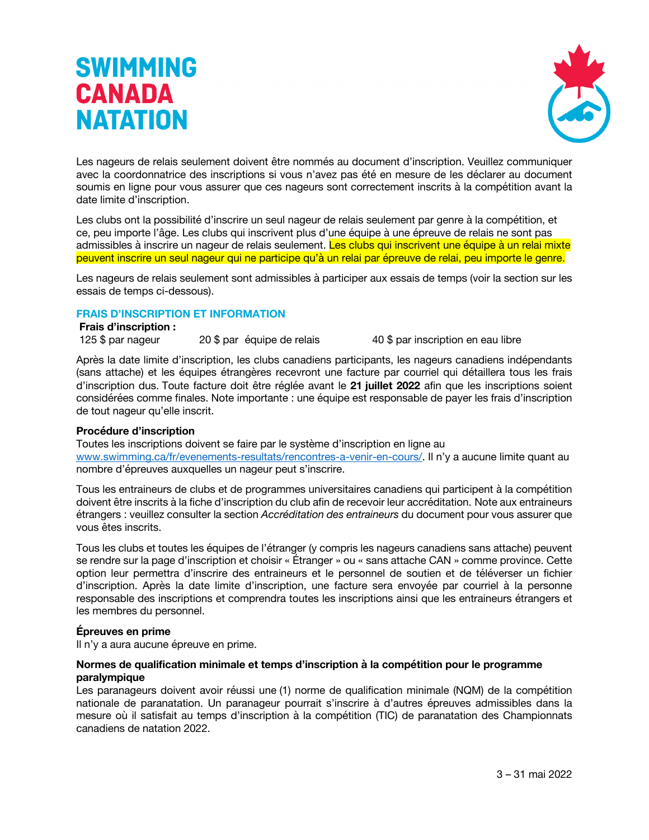

Les nageurs de relais seulement doivent être nommés au document d'inscription. Veuillez communiquer avec la coordonnatrice des inscriptions si vous n'avez pas été en mesure de les déclarer au document soumis en ligne pour vous assurer que ces nageurs sont correctement inscrits à la compétition avant la date limite d'inscription.

Les clubs ont la possibilité d'inscrire un seul nageur de relais seulement par genre à la compétition, et ce, peu importe l'âge. Les clubs qui inscrivent plus d'une équipe à une épreuve de relais ne sont pas admissibles à inscrire un nageur de relais seulement. Les clubs qui inscrivent une équipe à un relai mixte peuvent inscrire un seul nageur qui ne participe qu'à un relai par épreuve de relai, peu importe le genre.

Les nageurs de relais seulement sont admissibles à participer aux essais de temps (voir la section sur les essais de temps ci-dessous).

#### **FRAIS D'INSCRIPTION ET INFORMATION**

#### **Frais d'inscription :**

125 \$ par nageur 20 \$ par équipe de relais 40 \$ par inscription en eau libre

Après la date limite d'inscription, les clubs canadiens participants, les nageurs canadiens indépendants (sans attache) et les équipes étrangères recevront une facture par courriel qui détaillera tous les frais d'inscription dus. Toute facture doit être réglée avant le **21 juillet 2022** afin que les inscriptions soient considérées comme finales. Note importante : une équipe est responsable de payer les frais d'inscription de tout nageur qu'elle inscrit.

#### **Procédure d'inscription**

Toutes les inscriptions doivent se faire par le système d'inscription en ligne au www.swimming.ca/fr/evenements-resultats/rencontres-a-venir-en-cours/. Il n'y a aucune limite quant au nombre d'épreuves auxquelles un nageur peut s'inscrire.

Tous les entraineurs de clubs et de programmes universitaires canadiens qui participent à la compétition doivent être inscrits à la fiche d'inscription du club afin de recevoir leur accréditation. Note aux entraineurs étrangers : veuillez consulter la section *Accréditation des entraineurs* du document pour vous assurer que vous êtes inscrits.

Tous les clubs et toutes les équipes de l'étranger (y compris les nageurs canadiens sans attache) peuvent se rendre sur la page d'inscription et choisir « Étranger » ou « sans attache CAN » comme province. Cette option leur permettra d'inscrire des entraineurs et le personnel de soutien et de téléverser un fichier d'inscription. Après la date limite d'inscription, une facture sera envoyée par courriel à la personne responsable des inscriptions et comprendra toutes les inscriptions ainsi que les entraineurs étrangers et les membres du personnel.

#### **Épreuves en prime**

Il n'y a aura aucune épreuve en prime.

#### **Normes de qualification minimale et temps d'inscription à la compétition pour le programme paralympique**

Les paranageurs doivent avoir réussi une (1) norme de qualification minimale (NQM) de la compétition nationale de paranatation. Un paranageur pourrait s'inscrire à d'autres épreuves admissibles dans la mesure où il satisfait au temps d'inscription à la compétition (TIC) de paranatation des Championnats canadiens de natation 2022.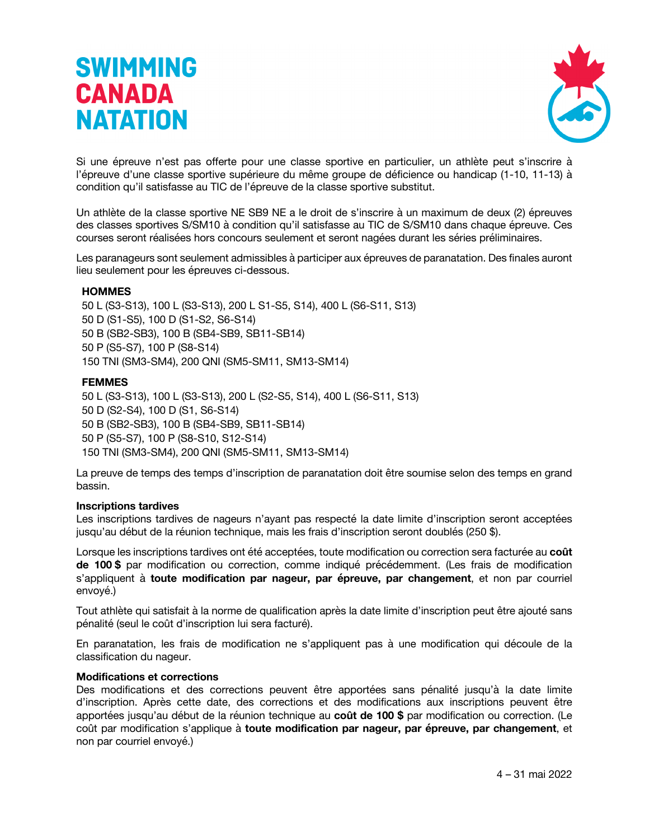

Si une épreuve n'est pas offerte pour une classe sportive en particulier, un athlète peut s'inscrire à l'épreuve d'une classe sportive supérieure du même groupe de déficience ou handicap (1-10, 11-13) à condition qu'il satisfasse au TIC de l'épreuve de la classe sportive substitut.

Un athlète de la classe sportive NE SB9 NE a le droit de s'inscrire à un maximum de deux (2) épreuves des classes sportives S/SM10 à condition qu'il satisfasse au TIC de S/SM10 dans chaque épreuve. Ces courses seront réalisées hors concours seulement et seront nagées durant les séries préliminaires.

Les paranageurs sont seulement admissibles à participer aux épreuves de paranatation. Des finales auront lieu seulement pour les épreuves ci-dessous.

#### **HOMMES**

50 L (S3-S13), 100 L (S3-S13), 200 L S1-S5, S14), 400 L (S6-S11, S13) 50 D (S1-S5), 100 D (S1-S2, S6-S14) 50 B (SB2-SB3), 100 B (SB4-SB9, SB11-SB14) 50 P (S5-S7), 100 P (S8-S14) 150 TNI (SM3-SM4), 200 QNI (SM5-SM11, SM13-SM14)

#### **FEMMES**

50 L (S3-S13), 100 L (S3-S13), 200 L (S2-S5, S14), 400 L (S6-S11, S13) 50 D (S2-S4), 100 D (S1, S6-S14) 50 B (SB2-SB3), 100 B (SB4-SB9, SB11-SB14) 50 P (S5-S7), 100 P (S8-S10, S12-S14) 150 TNI (SM3-SM4), 200 QNI (SM5-SM11, SM13-SM14)

La preuve de temps des temps d'inscription de paranatation doit être soumise selon des temps en grand bassin.

#### **Inscriptions tardives**

Les inscriptions tardives de nageurs n'ayant pas respecté la date limite d'inscription seront acceptées jusqu'au début de la réunion technique, mais les frais d'inscription seront doublés (250 \$).

Lorsque les inscriptions tardives ont été acceptées, toute modification ou correction sera facturée au **coût de 100 \$** par modification ou correction, comme indiqué précédemment. (Les frais de modification s'appliquent à **toute modification par nageur, par épreuve, par changement**, et non par courriel envoyé.)

Tout athlète qui satisfait à la norme de qualification après la date limite d'inscription peut être ajouté sans pénalité (seul le coût d'inscription lui sera facturé).

En paranatation, les frais de modification ne s'appliquent pas à une modification qui découle de la classification du nageur.

#### **Modifications et corrections**

Des modifications et des corrections peuvent être apportées sans pénalité jusqu'à la date limite d'inscription. Après cette date, des corrections et des modifications aux inscriptions peuvent être apportées jusqu'au début de la réunion technique au **coût de 100 \$** par modification ou correction. (Le coût par modification s'applique à **toute modification par nageur, par épreuve, par changement**, et non par courriel envoyé.)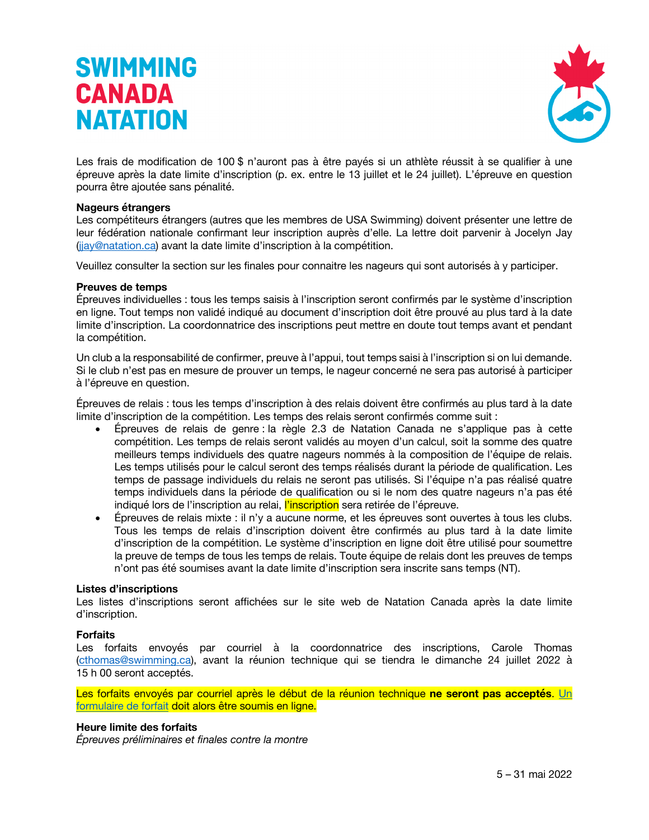

Les frais de modification de 100 \$ n'auront pas à être payés si un athlète réussit à se qualifier à une épreuve après la date limite d'inscription (p. ex. entre le 13 juillet et le 24 juillet). L'épreuve en question pourra être ajoutée sans pénalité.

#### **Nageurs étrangers**

Les compétiteurs étrangers (autres que les membres de USA Swimming) doivent présenter une lettre de leur fédération nationale confirmant leur inscription auprès d'elle. La lettre doit parvenir à Jocelyn Jay (jjay@natation.ca) avant la date limite d'inscription à la compétition.

Veuillez consulter la section sur les finales pour connaitre les nageurs qui sont autorisés à y participer.

#### **Preuves de temps**

Épreuves individuelles : tous les temps saisis à l'inscription seront confirmés par le système d'inscription en ligne. Tout temps non validé indiqué au document d'inscription doit être prouvé au plus tard à la date limite d'inscription. La coordonnatrice des inscriptions peut mettre en doute tout temps avant et pendant la compétition.

Un club a la responsabilité de confirmer, preuve à l'appui, tout temps saisi à l'inscription si on lui demande. Si le club n'est pas en mesure de prouver un temps, le nageur concerné ne sera pas autorisé à participer à l'épreuve en question.

Épreuves de relais : tous les temps d'inscription à des relais doivent être confirmés au plus tard à la date limite d'inscription de la compétition. Les temps des relais seront confirmés comme suit :

- Épreuves de relais de genre : la règle 2.3 de Natation Canada ne s'applique pas à cette compétition. Les temps de relais seront validés au moyen d'un calcul, soit la somme des quatre meilleurs temps individuels des quatre nageurs nommés à la composition de l'équipe de relais. Les temps utilisés pour le calcul seront des temps réalisés durant la période de qualification. Les temps de passage individuels du relais ne seront pas utilisés. Si l'équipe n'a pas réalisé quatre temps individuels dans la période de qualification ou si le nom des quatre nageurs n'a pas été indiqué lors de l'inscription au relai, l'inscription sera retirée de l'épreuve.
- Épreuves de relais mixte : il n'y a aucune norme, et les épreuves sont ouvertes à tous les clubs. Tous les temps de relais d'inscription doivent être confirmés au plus tard à la date limite d'inscription de la compétition. Le système d'inscription en ligne doit être utilisé pour soumettre la preuve de temps de tous les temps de relais. Toute équipe de relais dont les preuves de temps n'ont pas été soumises avant la date limite d'inscription sera inscrite sans temps (NT).

#### **Listes d'inscriptions**

Les listes d'inscriptions seront affichées sur le site web de Natation Canada après la date limite d'inscription.

#### **Forfaits**

Les forfaits envoyés par courriel à la coordonnatrice des inscriptions, Carole Thomas (cthomas@swimming.ca), avant la réunion technique qui se tiendra le dimanche 24 juillet 2022 à 15 h 00 seront acceptés.

Les forfaits envoyés par courriel après le début de la réunion technique **ne seront pas acceptés**. Un formulaire de forfait doit alors être soumis en ligne.

#### **Heure limite des forfaits**

*Épreuves préliminaires et finales contre la montre*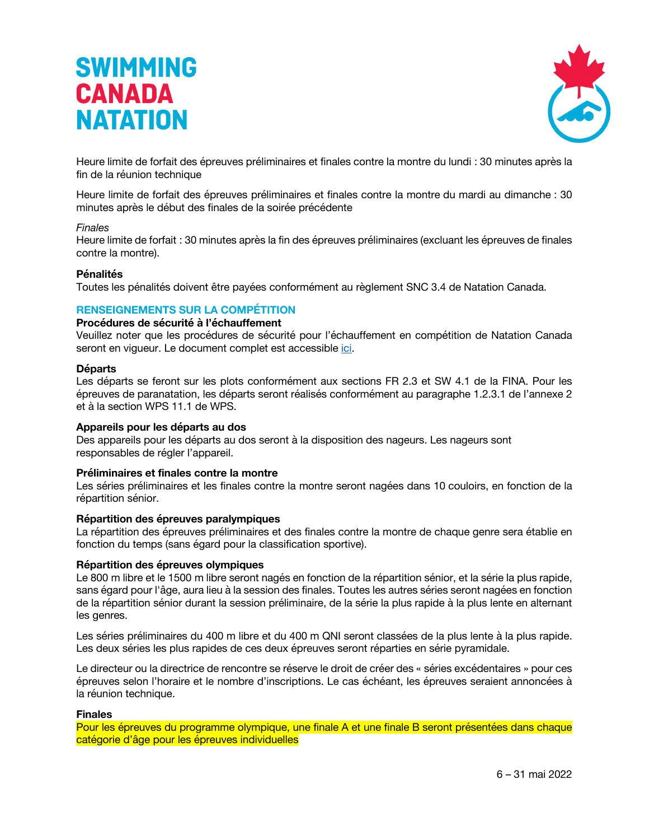

Heure limite de forfait des épreuves préliminaires et finales contre la montre du lundi : 30 minutes après la fin de la réunion technique

Heure limite de forfait des épreuves préliminaires et finales contre la montre du mardi au dimanche : 30 minutes après le début des finales de la soirée précédente

#### *Finales*

Heure limite de forfait : 30 minutes après la fin des épreuves préliminaires (excluant les épreuves de finales contre la montre).

#### **Pénalités**

Toutes les pénalités doivent être payées conformément au règlement SNC 3.4 de Natation Canada.

#### **RENSEIGNEMENTS SUR LA COMPÉTITION**

#### **Procédures de sécurité à l'échauffement**

Veuillez noter que les procédures de sécurité pour l'échauffement en compétition de Natation Canada seront en vigueur. Le document complet est accessible ici.

#### **Départs**

Les départs se feront sur les plots conformément aux sections FR 2.3 et SW 4.1 de la FINA. Pour les épreuves de paranatation, les départs seront réalisés conformément au paragraphe 1.2.3.1 de l'annexe 2 et à la section WPS 11.1 de WPS.

#### **Appareils pour les départs au dos**

Des appareils pour les départs au dos seront à la disposition des nageurs. Les nageurs sont responsables de régler l'appareil.

#### **Préliminaires et finales contre la montre**

Les séries préliminaires et les finales contre la montre seront nagées dans 10 couloirs, en fonction de la répartition sénior.

#### **Répartition des épreuves paralympiques**

La répartition des épreuves préliminaires et des finales contre la montre de chaque genre sera établie en fonction du temps (sans égard pour la classification sportive).

#### **Répartition des épreuves olympiques**

Le 800 m libre et le 1500 m libre seront nagés en fonction de la répartition sénior, et la série la plus rapide, sans égard pour l'âge, aura lieu à la session des finales. Toutes les autres séries seront nagées en fonction de la répartition sénior durant la session préliminaire, de la série la plus rapide à la plus lente en alternant les genres.

Les séries préliminaires du 400 m libre et du 400 m QNI seront classées de la plus lente à la plus rapide. Les deux séries les plus rapides de ces deux épreuves seront réparties en série pyramidale.

Le directeur ou la directrice de rencontre se réserve le droit de créer des « séries excédentaires » pour ces épreuves selon l'horaire et le nombre d'inscriptions. Le cas échéant, les épreuves seraient annoncées à la réunion technique.

#### **Finales**

Pour les épreuves du programme olympique, une finale A et une finale B seront présentées dans chaque catégorie d'âge pour les épreuves individuelles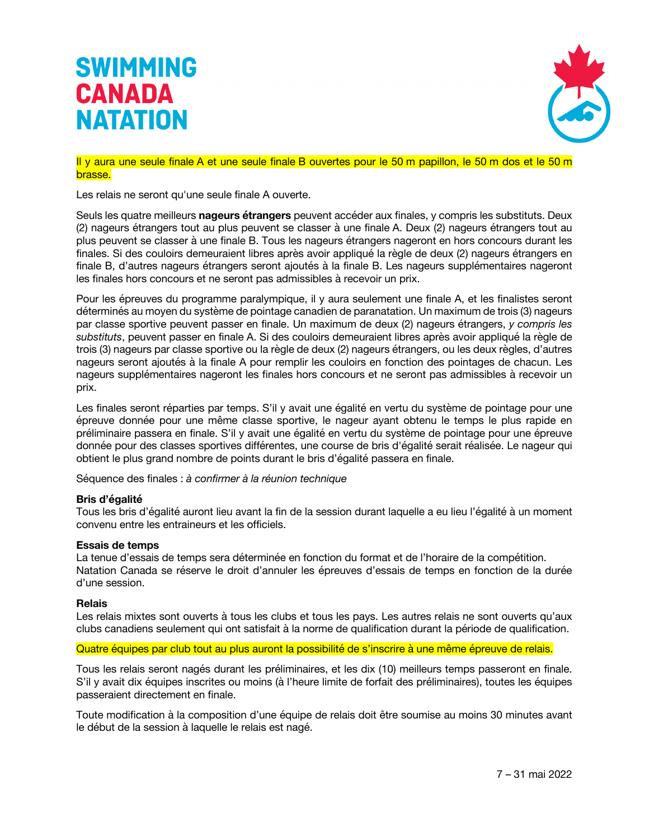

Il y aura une seule finale A et une seule finale B ouvertes pour le 50 m papillon, le 50 m dos et le 50 m brasse.

Les relais ne seront qu'une seule finale A ouverte.

Seuls les quatre meilleurs **nageurs étrangers** peuvent accéder aux finales, y compris les substituts. Deux (2) nageurs étrangers tout au plus peuvent se classer à une finale A. Deux (2) nageurs étrangers tout au plus peuvent se classer à une finale B. Tous les nageurs étrangers nageront en hors concours durant les finales. Si des couloirs demeuraient libres après avoir appliqué la règle de deux (2) nageurs étrangers en finale B, d'autres nageurs étrangers seront ajoutés à la finale B. Les nageurs supplémentaires nageront les finales hors concours et ne seront pas admissibles à recevoir un prix.

Pour les épreuves du programme paralympique, il y aura seulement une finale A, et les finalistes seront déterminés au moyen du système de pointage canadien de paranatation. Un maximum de trois (3) nageurs par classe sportive peuvent passer en finale. Un maximum de deux (2) nageurs étrangers, *y compris les substituts*, peuvent passer en finale A. Si des couloirs demeuraient libres après avoir appliqué la règle de trois (3) nageurs par classe sportive ou la règle de deux (2) nageurs étrangers, ou les deux règles, d'autres nageurs seront ajoutés à la finale A pour remplir les couloirs en fonction des pointages de chacun. Les nageurs supplémentaires nageront les finales hors concours et ne seront pas admissibles à recevoir un prix.

Les finales seront réparties par temps. S'il y avait une égalité en vertu du système de pointage pour une épreuve donnée pour une même classe sportive, le nageur ayant obtenu le temps le plus rapide en préliminaire passera en finale. S'il y avait une égalité en vertu du système de pointage pour une épreuve donnée pour des classes sportives différentes, une course de bris d'égalité serait réalisée. Le nageur qui obtient le plus grand nombre de points durant le bris d'égalité passera en finale.

Séquence des finales : *à confirmer à la réunion technique*

#### **Bris d'égalité**

Tous les bris d'égalité auront lieu avant la fin de la session durant laquelle a eu lieu l'égalité à un moment convenu entre les entraineurs et les officiels.

#### **Essais de temps**

La tenue d'essais de temps sera déterminée en fonction du format et de l'horaire de la compétition. Natation Canada se réserve le droit d'annuler les épreuves d'essais de temps en fonction de la durée d'une session.

#### **Relais**

Les relais mixtes sont ouverts à tous les clubs et tous les pays. Les autres relais ne sont ouverts qu'aux clubs canadiens seulement qui ont satisfait à la norme de qualification durant la période de qualification.

#### Quatre équipes par club tout au plus auront la possibilité de s'inscrire à une même épreuve de relais.

Tous les relais seront nagés durant les préliminaires, et les dix (10) meilleurs temps passeront en finale. S'il y avait dix équipes inscrites ou moins (à l'heure limite de forfait des préliminaires), toutes les équipes passeraient directement en finale.

Toute modification à la composition d'une équipe de relais doit être soumise au moins 30 minutes avant le début de la session à laquelle le relais est nagé.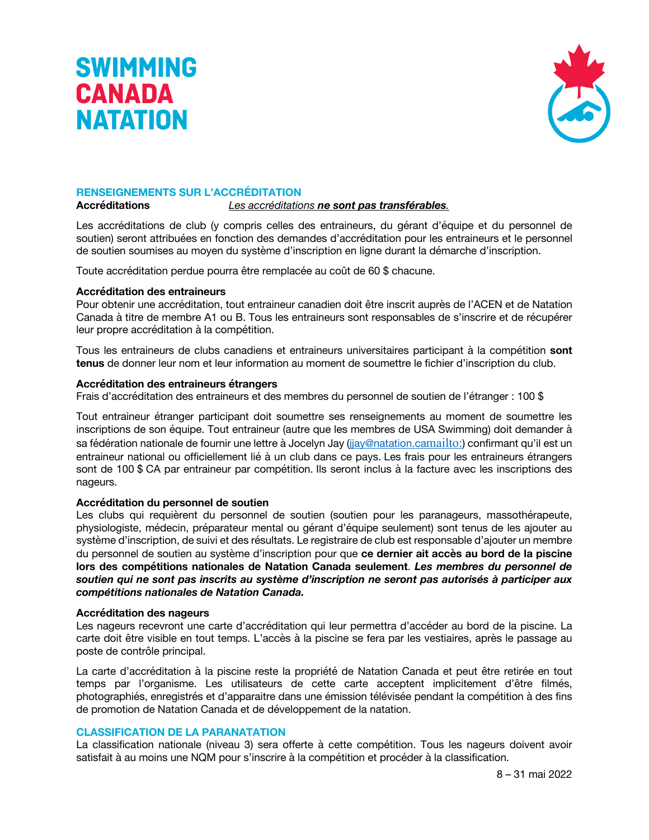



#### **RENSEIGNEMENTS SUR L'ACCRÉDITATION**

**Accréditations** *Les accréditations ne sont pas transférables.*

Les accréditations de club (y compris celles des entraineurs, du gérant d'équipe et du personnel de soutien) seront attribuées en fonction des demandes d'accréditation pour les entraineurs et le personnel de soutien soumises au moyen du système d'inscription en ligne durant la démarche d'inscription.

Toute accréditation perdue pourra être remplacée au coût de 60 \$ chacune.

#### **Accréditation des entraineurs**

Pour obtenir une accréditation, tout entraineur canadien doit être inscrit auprès de l'ACEN et de Natation Canada à titre de membre A1 ou B. Tous les entraineurs sont responsables de s'inscrire et de récupérer leur propre accréditation à la compétition.

Tous les entraineurs de clubs canadiens et entraineurs universitaires participant à la compétition **sont tenus** de donner leur nom et leur information au moment de soumettre le fichier d'inscription du club.

#### **Accréditation des entraineurs étrangers**

Frais d'accréditation des entraineurs et des membres du personnel de soutien de l'étranger : 100 \$

Tout entraineur étranger participant doit soumettre ses renseignements au moment de soumettre les inscriptions de son équipe. Tout entraineur (autre que les membres de USA Swimming) doit demander à sa fédération nationale de fournir une lettre à Jocelyn Jay (jjay@natation.camailto:) confirmant qu'il est un entraineur national ou officiellement lié à un club dans ce pays. Les frais pour les entraineurs étrangers sont de 100 \$ CA par entraineur par compétition. Ils seront inclus à la facture avec les inscriptions des nageurs.

#### **Accréditation du personnel de soutien**

Les clubs qui requièrent du personnel de soutien (soutien pour les paranageurs, massothérapeute, physiologiste, médecin, préparateur mental ou gérant d'équipe seulement) sont tenus de les ajouter au système d'inscription, de suivi et des résultats. Le registraire de club est responsable d'ajouter un membre du personnel de soutien au système d'inscription pour que **ce dernier ait accès au bord de la piscine lors des compétitions nationales de Natation Canada seulement**. *Les membres du personnel de soutien qui ne sont pas inscrits au système d'inscription ne seront pas autorisés à participer aux compétitions nationales de Natation Canada.*

#### **Accréditation des nageurs**

Les nageurs recevront une carte d'accréditation qui leur permettra d'accéder au bord de la piscine. La carte doit être visible en tout temps. L'accès à la piscine se fera par les vestiaires, après le passage au poste de contrôle principal.

La carte d'accréditation à la piscine reste la propriété de Natation Canada et peut être retirée en tout temps par l'organisme. Les utilisateurs de cette carte acceptent implicitement d'être filmés, photographiés, enregistrés et d'apparaitre dans une émission télévisée pendant la compétition à des fins de promotion de Natation Canada et de développement de la natation.

#### **CLASSIFICATION DE LA PARANATATION**

La classification nationale (niveau 3) sera offerte à cette compétition. Tous les nageurs doivent avoir satisfait à au moins une NQM pour s'inscrire à la compétition et procéder à la classification.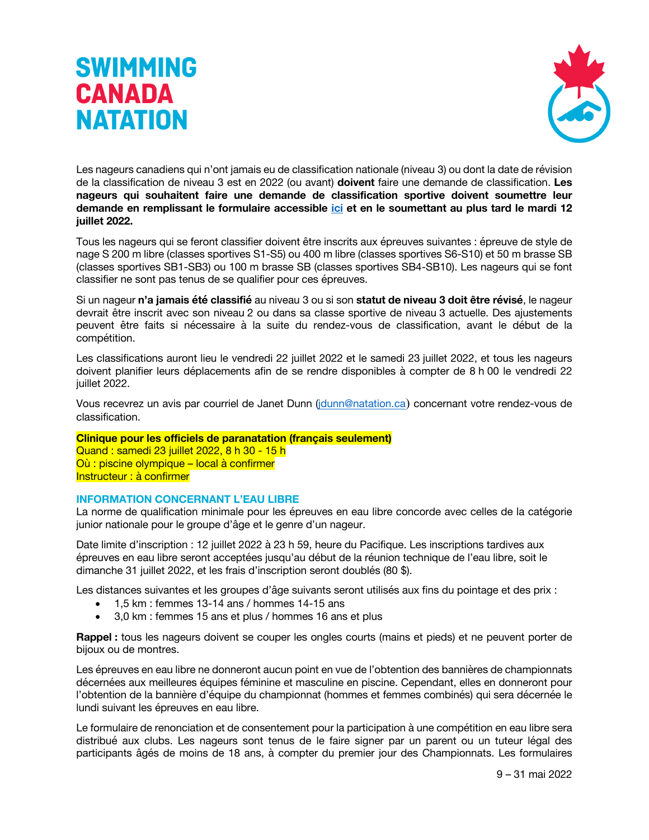

Les nageurs canadiens qui n'ont jamais eu de classification nationale (niveau 3) ou dont la date de révision de la classification de niveau 3 est en 2022 (ou avant) **doivent** faire une demande de classification. **Les nageurs qui souhaitent faire une demande de classification sportive doivent soumettre leur demande en remplissant le formulaire accessible ici et en le soumettant au plus tard le mardi 12 juillet 2022.**

Tous les nageurs qui se feront classifier doivent être inscrits aux épreuves suivantes : épreuve de style de nage S 200 m libre (classes sportives S1-S5) ou 400 m libre (classes sportives S6-S10) et 50 m brasse SB (classes sportives SB1-SB3) ou 100 m brasse SB (classes sportives SB4-SB10). Les nageurs qui se font classifier ne sont pas tenus de se qualifier pour ces épreuves.

Si un nageur **n'a jamais été classifié** au niveau 3 ou si son **statut de niveau 3 doit être révisé**, le nageur devrait être inscrit avec son niveau 2 ou dans sa classe sportive de niveau 3 actuelle. Des ajustements peuvent être faits si nécessaire à la suite du rendez-vous de classification, avant le début de la compétition.

Les classifications auront lieu le vendredi 22 juillet 2022 et le samedi 23 juillet 2022, et tous les nageurs doivent planifier leurs déplacements afin de se rendre disponibles à compter de 8 h 00 le vendredi 22 juillet 2022.

Vous recevrez un avis par courriel de Janet Dunn (jdunn@natation.ca) concernant votre rendez-vous de classification.

### **Clinique pour les officiels de paranatation (français seulement)**

Quand : samedi 23 juillet 2022, 8 h 30 - 15 h Où : piscine olympique – local à confirmer Instructeur : à confirmer

#### **INFORMATION CONCERNANT L'EAU LIBRE**

La norme de qualification minimale pour les épreuves en eau libre concorde avec celles de la catégorie junior nationale pour le groupe d'âge et le genre d'un nageur.

Date limite d'inscription : 12 juillet 2022 à 23 h 59, heure du Pacifique. Les inscriptions tardives aux épreuves en eau libre seront acceptées jusqu'au début de la réunion technique de l'eau libre, soit le dimanche 31 juillet 2022, et les frais d'inscription seront doublés (80 \$).

Les distances suivantes et les groupes d'âge suivants seront utilisés aux fins du pointage et des prix :

- 1,5 km : femmes 13-14 ans / hommes 14-15 ans
- 3,0 km : femmes 15 ans et plus / hommes 16 ans et plus

**Rappel :** tous les nageurs doivent se couper les ongles courts (mains et pieds) et ne peuvent porter de bijoux ou de montres.

Les épreuves en eau libre ne donneront aucun point en vue de l'obtention des bannières de championnats décernées aux meilleures équipes féminine et masculine en piscine. Cependant, elles en donneront pour l'obtention de la bannière d'équipe du championnat (hommes et femmes combinés) qui sera décernée le lundi suivant les épreuves en eau libre.

Le formulaire de renonciation et de consentement pour la participation à une compétition en eau libre sera distribué aux clubs. Les nageurs sont tenus de le faire signer par un parent ou un tuteur légal des participants âgés de moins de 18 ans, à compter du premier jour des Championnats. Les formulaires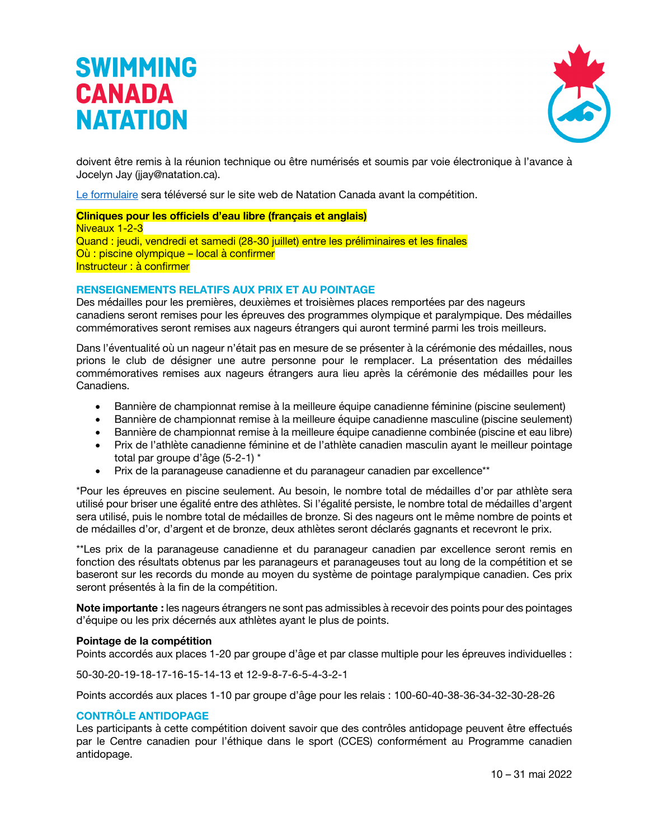

doivent être remis à la réunion technique ou être numérisés et soumis par voie électronique à l'avance à Jocelyn Jay (jjay@natation.ca).

Le formulaire sera téléversé sur le site web de Natation Canada avant la compétition.

**Cliniques pour les officiels d'eau libre (français et anglais)** Niveaux 1-2-3 Quand : jeudi, vendredi et samedi (28-30 juillet) entre les préliminaires et les finales Où : piscine olympique – local à confirmer Instructeur : à confirmer

#### **RENSEIGNEMENTS RELATIFS AUX PRIX ET AU POINTAGE**

Des médailles pour les premières, deuxièmes et troisièmes places remportées par des nageurs canadiens seront remises pour les épreuves des programmes olympique et paralympique. Des médailles commémoratives seront remises aux nageurs étrangers qui auront terminé parmi les trois meilleurs.

Dans l'éventualité où un nageur n'était pas en mesure de se présenter à la cérémonie des médailles, nous prions le club de désigner une autre personne pour le remplacer. La présentation des médailles commémoratives remises aux nageurs étrangers aura lieu après la cérémonie des médailles pour les Canadiens.

- Bannière de championnat remise à la meilleure équipe canadienne féminine (piscine seulement)
- Bannière de championnat remise à la meilleure équipe canadienne masculine (piscine seulement)
- Bannière de championnat remise à la meilleure équipe canadienne combinée (piscine et eau libre)
- Prix de l'athlète canadienne féminine et de l'athlète canadien masculin ayant le meilleur pointage total par groupe d'âge (5-2-1) \*
- Prix de la paranageuse canadienne et du paranageur canadien par excellence\*\*

\*Pour les épreuves en piscine seulement. Au besoin, le nombre total de médailles d'or par athlète sera utilisé pour briser une égalité entre des athlètes. Si l'égalité persiste, le nombre total de médailles d'argent sera utilisé, puis le nombre total de médailles de bronze. Si des nageurs ont le même nombre de points et de médailles d'or, d'argent et de bronze, deux athlètes seront déclarés gagnants et recevront le prix.

\*\*Les prix de la paranageuse canadienne et du paranageur canadien par excellence seront remis en fonction des résultats obtenus par les paranageurs et paranageuses tout au long de la compétition et se baseront sur les records du monde au moyen du système de pointage paralympique canadien. Ces prix seront présentés à la fin de la compétition.

**Note importante :** les nageurs étrangers ne sont pas admissibles à recevoir des points pour des pointages d'équipe ou les prix décernés aux athlètes ayant le plus de points.

#### **Pointage de la compétition**

Points accordés aux places 1-20 par groupe d'âge et par classe multiple pour les épreuves individuelles :

50-30-20-19-18-17-16-15-14-13 et 12-9-8-7-6-5-4-3-2-1

Points accordés aux places 1-10 par groupe d'âge pour les relais : 100-60-40-38-36-34-32-30-28-26

#### **CONTRÔLE ANTIDOPAGE**

Les participants à cette compétition doivent savoir que des contrôles antidopage peuvent être effectués par le Centre canadien pour l'éthique dans le sport (CCES) conformément au Programme canadien antidopage.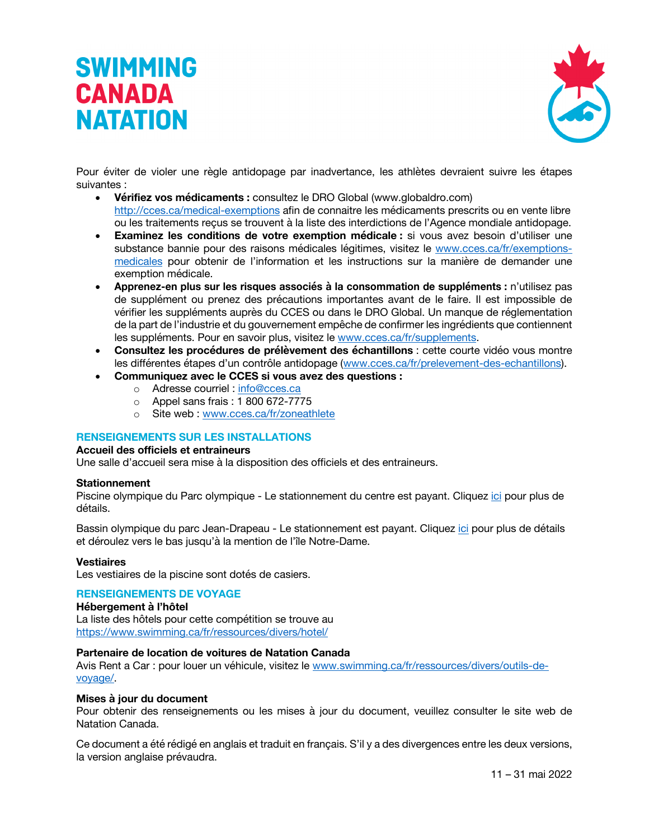

Pour éviter de violer une règle antidopage par inadvertance, les athlètes devraient suivre les étapes suivantes :

- **Vérifiez vos médicaments :** consultez le DRO Global (www.globaldro.com) http://cces.ca/medical-exemptions afin de connaitre les médicaments prescrits ou en vente libre ou les traitements reçus se trouvent à la liste des interdictions de l'Agence mondiale antidopage.
- **Examinez les conditions de votre exemption médicale :** si vous avez besoin d'utiliser une substance bannie pour des raisons médicales légitimes, visitez le www.cces.ca/fr/exemptionsmedicales pour obtenir de l'information et les instructions sur la manière de demander une exemption médicale.
- **Apprenez-en plus sur les risques associés à la consommation de suppléments :** n'utilisez pas de supplément ou prenez des précautions importantes avant de le faire. Il est impossible de vérifier les suppléments auprès du CCES ou dans le DRO Global. Un manque de réglementation de la part de l'industrie et du gouvernement empêche de confirmer les ingrédients que contiennent les suppléments. Pour en savoir plus, visitez le www.cces.ca/fr/supplements.
- **Consultez les procédures de prélèvement des échantillons** : cette courte vidéo vous montre les différentes étapes d'un contrôle antidopage (www.cces.ca/fr/prelevement-des-echantillons).
- **Communiquez avec le CCES si vous avez des questions :**
	- o Adresse courriel : info@cces.ca
	- o Appel sans frais : 1 800 672-7775
	- o Site web : www.cces.ca/fr/zoneathlete

#### **RENSEIGNEMENTS SUR LES INSTALLATIONS**

#### **Accueil des officiels et entraineurs**

Une salle d'accueil sera mise à la disposition des officiels et des entraineurs.

#### **Stationnement**

Piscine olympique du Parc olympique - Le stationnement du centre est payant. Cliquez ici pour plus de détails.

Bassin olympique du parc Jean-Drapeau - Le stationnement est payant. Cliquez ici pour plus de détails et déroulez vers le bas jusqu'à la mention de l'île Notre-Dame.

#### **Vestiaires**

Les vestiaires de la piscine sont dotés de casiers.

#### **RENSEIGNEMENTS DE VOYAGE**

#### **Hébergement à l'hôtel**

La liste des hôtels pour cette compétition se trouve au https://www.swimming.ca/fr/ressources/divers/hotel/

#### **Partenaire de location de voitures de Natation Canada**

Avis Rent a Car : pour louer un véhicule, visitez le www.swimming.ca/fr/ressources/divers/outils-devoyage/.

#### **Mises à jour du document**

Pour obtenir des renseignements ou les mises à jour du document, veuillez consulter le site web de Natation Canada.

Ce document a été rédigé en anglais et traduit en français. S'il y a des divergences entre les deux versions, la version anglaise prévaudra.